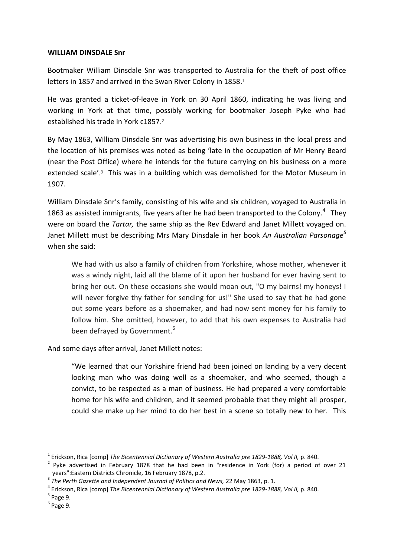## **WILLIAM DINSDALE Snr**

Bootmaker William Dinsdale Snr was transported to Australia for the theft of post office letters in 1857 and arrived in the Swan River Colony in 1858. 1

He was granted a ticket-of-leave in York on 30 April 1860, indicating he was living and working in York at that time, possibly working for bootmaker Joseph Pyke who had established his trade in York c1857. 2

By May 1863, William Dinsdale Snr was advertising his own business in the local press and the location of his premises was noted as being 'late in the occupation of Mr Henry Beard (near the Post Office) where he intends for the future carrying on his business on a more extended scale'. <sup>3</sup> This was in a building which was demolished for the Motor Museum in 1907.

William Dinsdale Snr's family, consisting of his wife and six children, voyaged to Australia in 1863 as assisted immigrants, five years after he had been transported to the Colony. $4$  They were on board the *Tartar,* the same ship as the Rev Edward and Janet Millett voyaged on. Janet Millett must be describing Mrs Mary Dinsdale in her book *An Australian Parsonage<sup>5</sup>* when she said:

We had with us also a family of children from Yorkshire, whose mother, whenever it was a windy night, laid all the blame of it upon her husband for ever having sent to bring her out. On these occasions she would moan out, "O my bairns! my honeys! I will never forgive thy father for sending for us!" She used to say that he had gone out some years before as a shoemaker, and had now sent money for his family to follow him. She omitted, however, to add that his own expenses to Australia had been defrayed by Government.<sup>6</sup>

And some days after arrival, Janet Millett notes:

"We learned that our Yorkshire friend had been joined on landing by a very decent looking man who was doing well as a shoemaker, and who seemed, though a convict, to be respected as a man of business. He had prepared a very comfortable home for his wife and children, and it seemed probable that they might all prosper, could she make up her mind to do her best in a scene so totally new to her. This

 $\overline{a}$ 

<sup>&</sup>lt;sup>1</sup> Erickson, Rica [comp] *The Bicentennial Dictionary of Western Australia pre 1829-1888, Vol II, p. 840.* 

 $2$  Pyke advertised in February 1878 that he had been in "residence in York (for) a period of over 21 years":Eastern Districts Chronicle, 16 February 1878, p.2.

<sup>&</sup>lt;sup>3</sup> The Perth Gazette and Independent Journal of Politics and News, 22 May 1863, p. 1.

<sup>&</sup>lt;sup>4</sup> Erickson, Rica [comp] *The Bicentennial Dictionary of Western Australia pre 1829-1888, Vol II, p. 840.* 

<sup>5</sup> Page 9.

<sup>6</sup> Page 9.